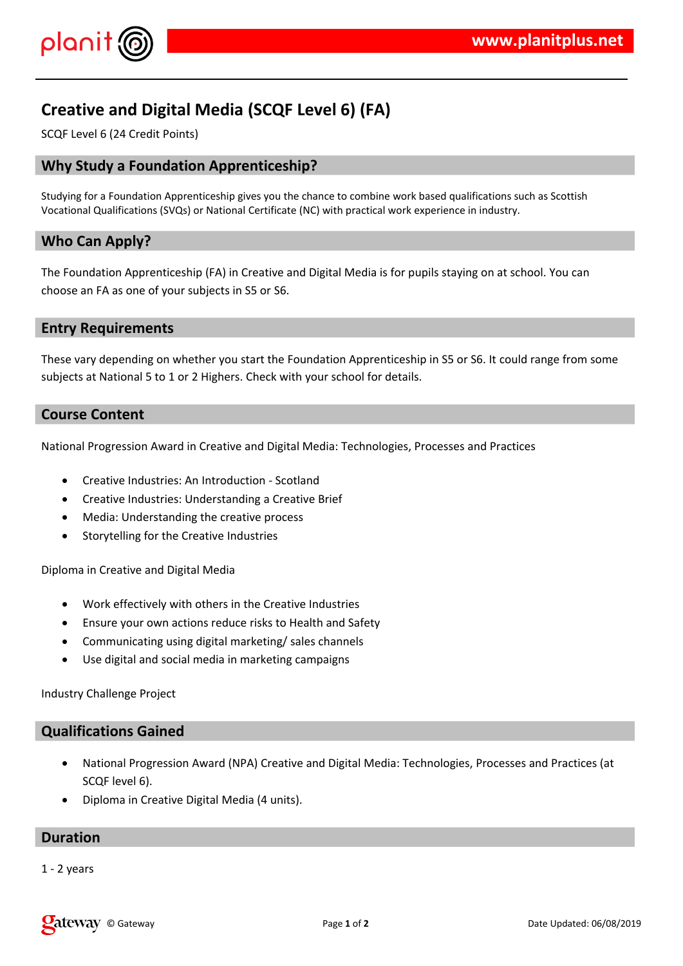

# **Creative and Digital Media (SCQF Level 6) (FA)**

SCQF Level 6 (24 Credit Points)

### **Why Study a Foundation Apprenticeship?**

Studying for a Foundation Apprenticeship gives you the chance to combine work based qualifications such as Scottish Vocational Qualifications (SVQs) or National Certificate (NC) with practical work experience in industry.

#### **Who Can Apply?**

The Foundation Apprenticeship (FA) in Creative and Digital Media is for pupils staying on at school. You can choose an FA as one of your subjects in S5 or S6.

#### **Entry Requirements**

These vary depending on whether you start the Foundation Apprenticeship in S5 or S6. It could range from some subjects at National 5 to 1 or 2 Highers. Check with your school for details.

#### **Course Content**

National Progression Award in Creative and Digital Media: Technologies, Processes and Practices

- Creative Industries: An Introduction Scotland
- Creative Industries: Understanding a Creative Brief
- Media: Understanding the creative process
- **•** Storytelling for the Creative Industries

Diploma in Creative and Digital Media

- Work effectively with others in the Creative Industries
- Ensure your own actions reduce risks to Health and Safety
- Communicating using digital marketing/ sales channels
- Use digital and social media in marketing campaigns

Industry Challenge Project

### **Qualifications Gained**

- National Progression Award (NPA) Creative and Digital Media: Technologies, Processes and Practices (at SCQF level 6).
- Diploma in Creative Digital Media (4 units).

#### **Duration**

1 - 2 years